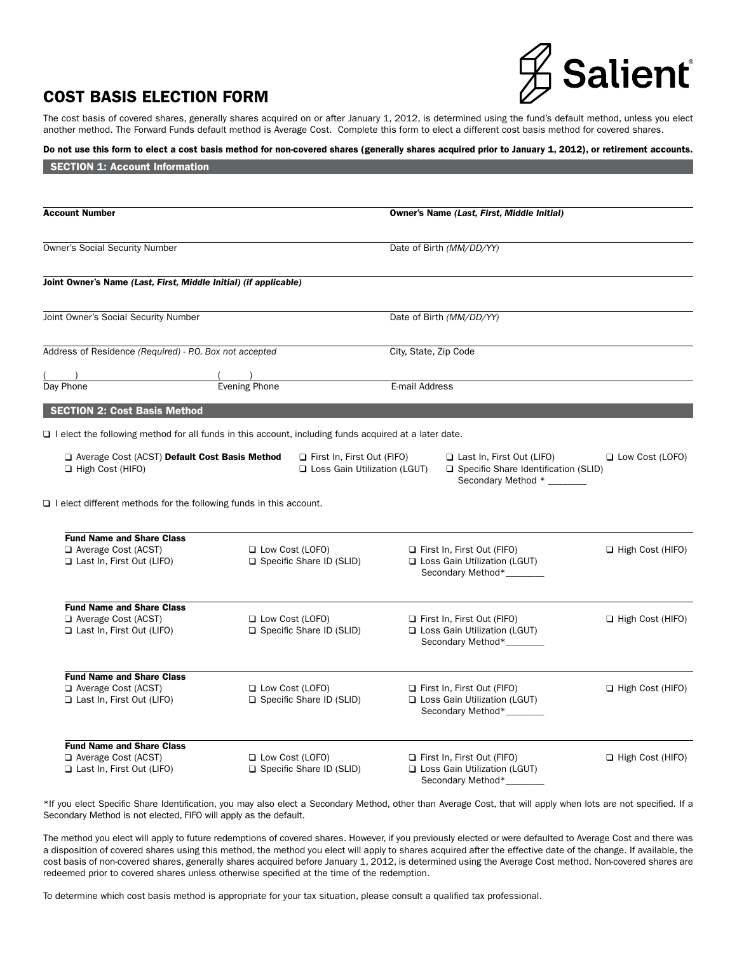# Salient®

# COST BASIS ELECTION FORM

 $S$ ECTION  $A: A$ 

The cost basis of covered shares, generally shares acquired on or after January 1, 2012, is determined using the fund's default method, unless you elect another method. The Forward Funds default method is Average Cost. Complete this form to elect a different cost basis method for covered shares.

# Do not use this form to elect a cost basis method for non-covered shares (generally shares acquired prior to January 1, 2012), or retirement accounts.

| <b>SECTION L: ACCOUNT INFORMATION</b>                                                       |                                                                                                              |                                                                                                   |                         |
|---------------------------------------------------------------------------------------------|--------------------------------------------------------------------------------------------------------------|---------------------------------------------------------------------------------------------------|-------------------------|
|                                                                                             |                                                                                                              |                                                                                                   |                         |
| <b>Account Number</b>                                                                       |                                                                                                              | Owner's Name (Last, First, Middle Initial)                                                        |                         |
| <b>Owner's Social Security Number</b>                                                       |                                                                                                              | Date of Birth (MM/DD/YY)                                                                          |                         |
| Joint Owner's Name (Last, First, Middle Initial) (if applicable)                            |                                                                                                              |                                                                                                   |                         |
| Joint Owner's Social Security Number                                                        |                                                                                                              | Date of Birth (MM/DD/YY)                                                                          |                         |
| Address of Residence (Required) - P.O. Box not accepted                                     |                                                                                                              | City, State, Zip Code                                                                             |                         |
|                                                                                             | $\frac{1}{2}$ Evening Phone                                                                                  |                                                                                                   |                         |
| Day Phone                                                                                   |                                                                                                              | E-mail Address                                                                                    |                         |
| <b>SECTION 2: Cost Basis Method</b>                                                         |                                                                                                              |                                                                                                   |                         |
|                                                                                             | $\Box$ I elect the following method for all funds in this account, including funds acquired at a later date. |                                                                                                   |                         |
| Average Cost (ACST) Default Cost Basis Method<br>$\Box$ High Cost (HIFO)                    | $\Box$ First In, First Out (FIFO)<br>Loss Gain Utilization (LGUT)                                            | Last In, First Out (LIFO)<br>□ Specific Share Identification (SLID)<br>Secondary Method * _______ | <b>Low Cost (LOFO)</b>  |
| $\Box$ I elect different methods for the following funds in this account.                   |                                                                                                              |                                                                                                   |                         |
|                                                                                             |                                                                                                              |                                                                                                   |                         |
| <b>Fund Name and Share Class</b><br>Average Cost (ACST)                                     | $\Box$ Low Cost (LOFO)                                                                                       | $\Box$ First In, First Out (FIFO)                                                                 | $\Box$ High Cost (HIFO) |
| Last In, First Out (LIFO)                                                                   | Specific Share ID (SLID)                                                                                     | Loss Gain Utilization (LGUT)<br>Secondary Method*_______                                          |                         |
| <b>Fund Name and Share Class</b>                                                            |                                                                                                              |                                                                                                   |                         |
| $\Box$ Average Cost (ACST)<br>Last In, First Out (LIFO)                                     | <b>L</b> Low Cost (LOFO)<br>$\Box$ Specific Share ID (SLID)                                                  | $\Box$ First In, First Out (FIFO)<br>□ Loss Gain Utilization (LGUT)<br>Secondary Method*_______   | $\Box$ High Cost (HIFO) |
|                                                                                             |                                                                                                              |                                                                                                   |                         |
| <b>Fund Name and Share Class</b><br>$\Box$ Average Cost (ACST)<br>Last In, First Out (LIFO) | $\Box$ Low Cost (LOFO)<br>Specific Share ID (SLID)                                                           | $\Box$ First In, First Out (FIFO)<br>Loss Gain Utilization (LGUT)<br>Secondary Method*_______     | $\Box$ High Cost (HIFO) |
| <b>Fund Name and Share Class</b>                                                            |                                                                                                              |                                                                                                   |                         |
| $\Box$ Average Cost (ACST)<br>Last In, First Out (LIFO)                                     | $\Box$ Low Cost (LOFO)<br>Specific Share ID (SLID)                                                           | $\Box$ First In, First Out (FIFO)<br>Loss Gain Utilization (LGUT)<br>Secondary Method*______      | $\Box$ High Cost (HIFO) |

\*If you elect Specific Share Identification, you may also elect a Secondary Method, other than Average Cost, that will apply when lots are not specified. If a Secondary Method is not elected, FIFO will apply as the default.

The method you elect will apply to future redemptions of covered shares. However, if you previously elected or were defaulted to Average Cost and there was a disposition of covered shares using this method, the method you elect will apply to shares acquired after the effective date of the change. If available, the cost basis of non-covered shares, generally shares acquired before January 1, 2012, is determined using the Average Cost method. Non-covered shares are redeemed prior to covered shares unless otherwise specified at the time of the redemption.

To determine which cost basis method is appropriate for your tax situation, please consult a qualified tax professional.